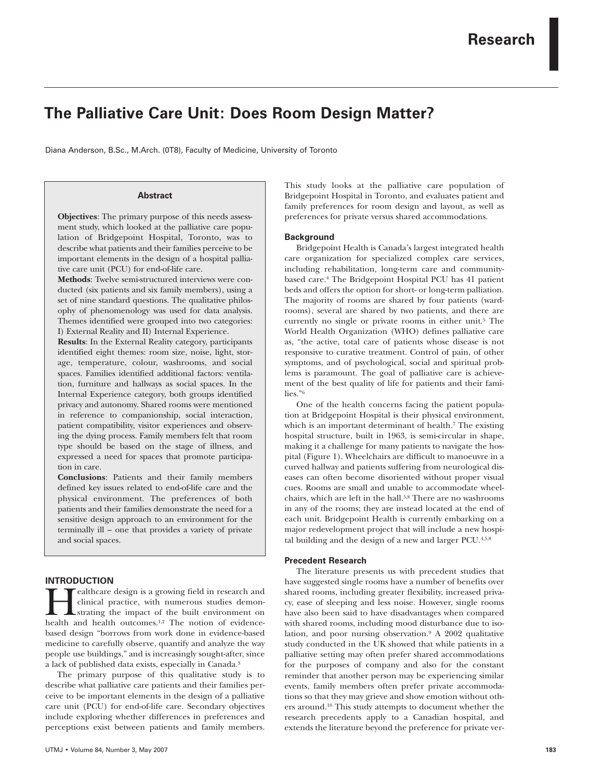# **The Palliative Care Unit: Does Room Design Matter?**

Diana Anderson, B.Sc., M.Arch. (0T8), Faculty of Medicine, University of Toronto

# **Abstract**

**Objectives**: The primary purpose of this needs assessment study, which looked at the palliative care population of Bridgepoint Hospital, Toronto, was to describe what patients and their families perceive to be important elements in the design of a hospital palliative care unit (PCU) for end-of-life care.

**Methods**: Twelve semi-structured interviews were conducted (six patients and six family members), using a set of nine standard questions. The qualitative philosophy of phenomenology was used for data analysis. Themes identified were grouped into two categories: I) External Reality and II) Internal Experience.

**Results**: In the External Reality category, participants identified eight themes: room size, noise, light, storage, temperature, colour, washrooms, and social spaces. Families identified additional factors: ventilation, furniture and hallways as social spaces. In the Internal Experience category, both groups identified privacy and autonomy. Shared rooms were mentioned in reference to companionship, social interaction, patient compatibility, visitor experiences and observing the dying process. Family members felt that room type should be based on the stage of illness, and expressed a need for spaces that promote participation in care.

**Conclusions**: Patients and their family members defined key issues related to end-of-life care and the physical environment. The preferences of both patients and their families demonstrate the need for a sensitive design approach to an environment for the terminally ill – one that provides a variety of private and social spaces.

# **INTRODUCTION**

ealthcare design is a growing field in research and clinical practice, with numerous studies demonstrating the impact of the built environment on health and health outcomes.<sup>1,2</sup> The notion of evidencebased design "borrows from work done in evidence-based medicine to carefully observe, quantify and analyze the way people use buildings," and is increasingly sought-after, since a lack of published data exists, especially in Canada.3

The primary purpose of this qualitative study is to describe what palliative care patients and their families perceive to be important elements in the design of a palliative care unit (PCU) for end-of-life care. Secondary objectives include exploring whether differences in preferences and perceptions exist between patients and family members. This study looks at the palliative care population of Bridgepoint Hospital in Toronto, and evaluates patient and family preferences for room design and layout, as well as preferences for private versus shared accommodations.

# **Background**

Bridgepoint Health is Canada's largest integrated health care organization for specialized complex care services, including rehabilitation, long-term care and communitybased care.4 The Bridgepoint Hospital PCU has 41 patient beds and offers the option for short- or long-term palliation. The majority of rooms are shared by four patients (wardrooms), several are shared by two patients, and there are currently no single or private rooms in either unit.<sup>5</sup> The World Health Organization (WHO) defines palliative care as, "the active, total care of patients whose disease is not responsive to curative treatment. Control of pain, of other symptoms, and of psychological, social and spiritual problems is paramount. The goal of palliative care is achievement of the best quality of life for patients and their families."6

One of the health concerns facing the patient population at Bridgepoint Hospital is their physical environment, which is an important determinant of health.<sup>7</sup> The existing hospital structure, built in 1963, is semi-circular in shape, making it a challenge for many patients to navigate the hospital (Figure 1). Wheelchairs are difficult to manoeuvre in a curved hallway and patients suffering from neurological diseases can often become disoriented without proper visual cues. Rooms are small and unable to accommodate wheelchairs, which are left in the hall.5,8 There are no washrooms in any of the rooms; they are instead located at the end of each unit. Bridgepoint Health is currently embarking on a major redevelopment project that will include a new hospital building and the design of a new and larger PCU.4,5,8

#### **Precedent Research**

The literature presents us with precedent studies that have suggested single rooms have a number of benefits over shared rooms, including greater flexibility, increased privacy, ease of sleeping and less noise. However, single rooms have also been said to have disadvantages when compared with shared rooms, including mood disturbance due to isolation, and poor nursing observation.9 A 2002 qualitative study conducted in the UK showed that while patients in a palliative setting may often prefer shared accommodations for the purposes of company and also for the constant reminder that another person may be experiencing similar events, family members often prefer private accommodations so that they may grieve and show emotion without others around.10 This study attempts to document whether the research precedents apply to a Canadian hospital, and extends the literature beyond the preference for private ver-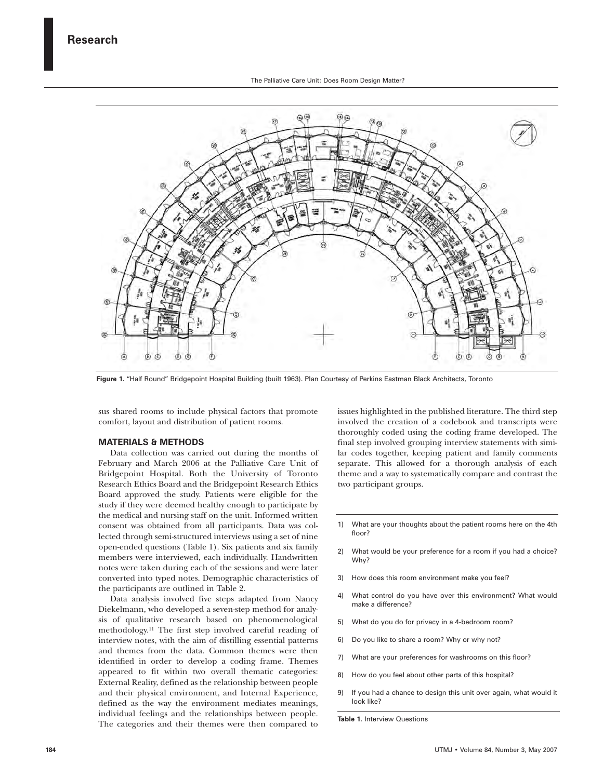

**Figure 1.** "Half Round" Bridgepoint Hospital Building (built 1963). Plan Courtesy of Perkins Eastman Black Architects, Toronto

sus shared rooms to include physical factors that promote comfort, layout and distribution of patient rooms.

## **MATERIALS & METHODS**

Data collection was carried out during the months of February and March 2006 at the Palliative Care Unit of Bridgepoint Hospital. Both the University of Toronto Research Ethics Board and the Bridgepoint Research Ethics Board approved the study. Patients were eligible for the study if they were deemed healthy enough to participate by the medical and nursing staff on the unit. Informed written consent was obtained from all participants. Data was collected through semi-structured interviews using a set of nine open-ended questions (Table 1). Six patients and six family members were interviewed, each individually. Handwritten notes were taken during each of the sessions and were later converted into typed notes. Demographic characteristics of the participants are outlined in Table 2.

Data analysis involved five steps adapted from Nancy Diekelmann, who developed a seven-step method for analysis of qualitative research based on phenomenological methodology.11 The first step involved careful reading of interview notes, with the aim of distilling essential patterns and themes from the data. Common themes were then identified in order to develop a coding frame. Themes appeared to fit within two overall thematic categories: External Reality, defined as the relationship between people and their physical environment, and Internal Experience, defined as the way the environment mediates meanings, individual feelings and the relationships between people. The categories and their themes were then compared to issues highlighted in the published literature. The third step involved the creation of a codebook and transcripts were thoroughly coded using the coding frame developed. The final step involved grouping interview statements with similar codes together, keeping patient and family comments separate. This allowed for a thorough analysis of each theme and a way to systematically compare and contrast the two participant groups.

- 1) What are your thoughts about the patient rooms here on the 4th floor?
- 2) What would be your preference for a room if you had a choice? Why?
- 3) How does this room environment make you feel?
- 4) What control do you have over this environment? What would make a difference?
- 5) What do you do for privacy in a 4-bedroom room?
- 6) Do you like to share a room? Why or why not?
- 7) What are your preferences for washrooms on this floor?
- 8) How do you feel about other parts of this hospital?
- 9) If you had a chance to design this unit over again, what would it look like?

**Table 1**. Interview Questions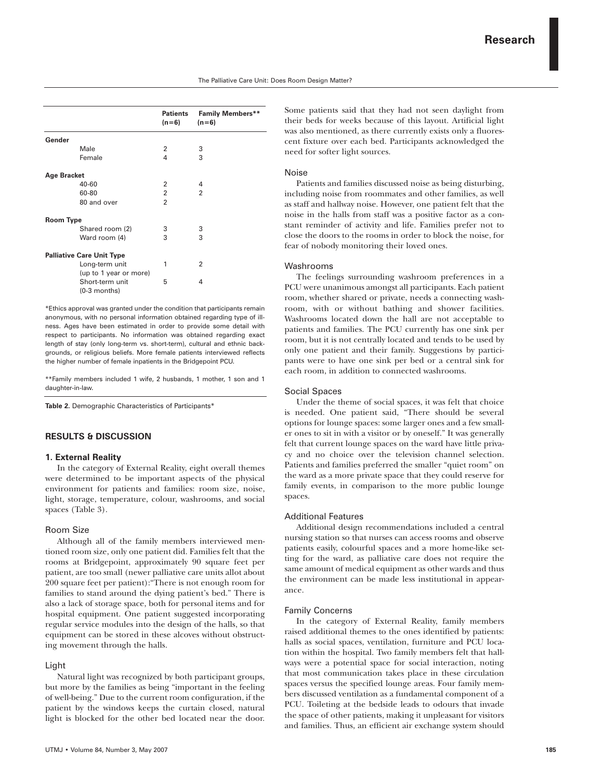|                    |                                          | <b>Patients</b><br>$(n=6)$ | <b>Family Members**</b><br>$(n=6)$ |
|--------------------|------------------------------------------|----------------------------|------------------------------------|
| Gender             |                                          |                            |                                    |
|                    | Male                                     | 2                          | 3                                  |
|                    | Female                                   | 4                          | 3                                  |
| <b>Age Bracket</b> |                                          |                            |                                    |
|                    | 40-60                                    | $\mathfrak{p}$             | 4                                  |
|                    | 60-80                                    | $\overline{2}$             | $\mathfrak{p}$                     |
|                    | 80 and over                              | $\overline{2}$             |                                    |
| <b>Room Type</b>   |                                          |                            |                                    |
|                    | Shared room (2)                          | 3                          | 3                                  |
|                    | Ward room (4)                            | 3                          | 3                                  |
|                    | <b>Palliative Care Unit Type</b>         |                            |                                    |
|                    | Long-term unit<br>(up to 1 year or more) | 1                          | $\overline{2}$                     |
|                    | Short-term unit<br>$(0-3$ months)        | 5                          | 4                                  |
|                    |                                          |                            |                                    |

\*Ethics approval was granted under the condition that participants remain anonymous, with no personal information obtained regarding type of illness. Ages have been estimated in order to provide some detail with respect to participants. No information was obtained regarding exact length of stay (only long-term vs. short-term), cultural and ethnic backgrounds, or religious beliefs. More female patients interviewed reflects the higher number of female inpatients in the Bridgepoint PCU.

\*\*Family members included 1 wife, 2 husbands, 1 mother, 1 son and 1 daughter-in-law.

**Table 2.** Demographic Characteristics of Participants\*

# **RESULTS & DISCUSSION**

#### **1. External Reality**

In the category of External Reality, eight overall themes were determined to be important aspects of the physical environment for patients and families: room size, noise, light, storage, temperature, colour, washrooms, and social spaces (Table 3).

## Room Size

Although all of the family members interviewed mentioned room size, only one patient did. Families felt that the rooms at Bridgepoint, approximately 90 square feet per patient, are too small (newer palliative care units allot about 200 square feet per patient):"There is not enough room for families to stand around the dying patient's bed." There is also a lack of storage space, both for personal items and for hospital equipment. One patient suggested incorporating regular service modules into the design of the halls, so that equipment can be stored in these alcoves without obstructing movement through the halls.

#### Light

Natural light was recognized by both participant groups, but more by the families as being "important in the feeling of well-being." Due to the current room configuration, if the patient by the windows keeps the curtain closed, natural light is blocked for the other bed located near the door. Some patients said that they had not seen daylight from their beds for weeks because of this layout. Artificial light was also mentioned, as there currently exists only a fluorescent fixture over each bed. Participants acknowledged the need for softer light sources.

# Noise

Patients and families discussed noise as being disturbing, including noise from roommates and other families, as well as staff and hallway noise. However, one patient felt that the noise in the halls from staff was a positive factor as a constant reminder of activity and life. Families prefer not to close the doors to the rooms in order to block the noise, for fear of nobody monitoring their loved ones.

#### Washrooms

The feelings surrounding washroom preferences in a PCU were unanimous amongst all participants. Each patient room, whether shared or private, needs a connecting washroom, with or without bathing and shower facilities. Washrooms located down the hall are not acceptable to patients and families. The PCU currently has one sink per room, but it is not centrally located and tends to be used by only one patient and their family. Suggestions by participants were to have one sink per bed or a central sink for each room, in addition to connected washrooms.

## Social Spaces

Under the theme of social spaces, it was felt that choice is needed. One patient said, "There should be several options for lounge spaces: some larger ones and a few smaller ones to sit in with a visitor or by oneself." It was generally felt that current lounge spaces on the ward have little privacy and no choice over the television channel selection. Patients and families preferred the smaller "quiet room" on the ward as a more private space that they could reserve for family events, in comparison to the more public lounge spaces.

#### Additional Features

Additional design recommendations included a central nursing station so that nurses can access rooms and observe patients easily, colourful spaces and a more home-like setting for the ward, as palliative care does not require the same amount of medical equipment as other wards and thus the environment can be made less institutional in appearance.

## Family Concerns

In the category of External Reality, family members raised additional themes to the ones identified by patients: halls as social spaces, ventilation, furniture and PCU location within the hospital. Two family members felt that hallways were a potential space for social interaction, noting that most communication takes place in these circulation spaces versus the specified lounge areas. Four family members discussed ventilation as a fundamental component of a PCU. Toileting at the bedside leads to odours that invade the space of other patients, making it unpleasant for visitors and families. Thus, an efficient air exchange system should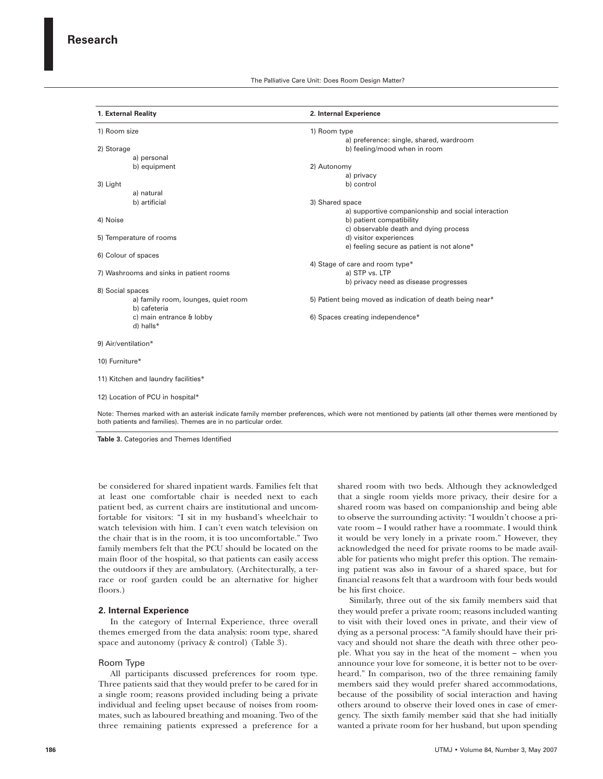| 1. External Reality<br>1) Room size     |                                                     | 2. Internal Experience                                                         |  |  |
|-----------------------------------------|-----------------------------------------------------|--------------------------------------------------------------------------------|--|--|
|                                         |                                                     | 1) Room type<br>a) preference: single, shared, wardroom                        |  |  |
| 2) Storage                              |                                                     | b) feeling/mood when in room                                                   |  |  |
|                                         | a) personal                                         |                                                                                |  |  |
|                                         | b) equipment                                        | 2) Autonomy                                                                    |  |  |
|                                         |                                                     | a) privacy                                                                     |  |  |
| 3) Light                                |                                                     | b) control                                                                     |  |  |
|                                         | a) natural                                          |                                                                                |  |  |
|                                         | b) artificial                                       | 3) Shared space                                                                |  |  |
| 4) Noise                                |                                                     | a) supportive companionship and social interaction<br>b) patient compatibility |  |  |
|                                         |                                                     | c) observable death and dying process                                          |  |  |
| 5) Temperature of rooms                 |                                                     | d) visitor experiences                                                         |  |  |
|                                         |                                                     | e) feeling secure as patient is not alone*                                     |  |  |
| 6) Colour of spaces                     |                                                     |                                                                                |  |  |
|                                         |                                                     | 4) Stage of care and room type*                                                |  |  |
| 7) Washrooms and sinks in patient rooms |                                                     | a) STP vs. LTP                                                                 |  |  |
|                                         |                                                     | b) privacy need as disease progresses                                          |  |  |
| 8) Social spaces                        |                                                     |                                                                                |  |  |
|                                         | a) family room, lounges, quiet room<br>b) cafeteria | 5) Patient being moved as indication of death being near*                      |  |  |
|                                         | c) main entrance & lobby                            | 6) Spaces creating independence*                                               |  |  |
|                                         | d) halls*                                           |                                                                                |  |  |
| 9) Air/ventilation*                     |                                                     |                                                                                |  |  |
| 10) Furniture*                          |                                                     |                                                                                |  |  |
|                                         | 11) Kitchen and laundry facilities*                 |                                                                                |  |  |
|                                         | 12) Location of PCU in hospital*                    |                                                                                |  |  |

Note: Themes marked with an asterisk indicate family member preferences, which were not mentioned by patients (all other themes were mentioned by both patients and families). Themes are in no particular order.

**Table 3.** Categories and Themes Identified

be considered for shared inpatient wards. Families felt that at least one comfortable chair is needed next to each patient bed, as current chairs are institutional and uncomfortable for visitors: "I sit in my husband's wheelchair to watch television with him. I can't even watch television on the chair that is in the room, it is too uncomfortable." Two family members felt that the PCU should be located on the main floor of the hospital, so that patients can easily access the outdoors if they are ambulatory. (Architecturally, a terrace or roof garden could be an alternative for higher floors.)

## **2. Internal Experience**

In the category of Internal Experience, three overall themes emerged from the data analysis: room type, shared space and autonomy (privacy & control) (Table 3).

#### Room Type

All participants discussed preferences for room type. Three patients said that they would prefer to be cared for in a single room; reasons provided including being a private individual and feeling upset because of noises from roommates, such as laboured breathing and moaning. Two of the three remaining patients expressed a preference for a shared room with two beds. Although they acknowledged that a single room yields more privacy, their desire for a shared room was based on companionship and being able to observe the surrounding activity: "I wouldn't choose a private room – I would rather have a roommate. I would think it would be very lonely in a private room." However, they acknowledged the need for private rooms to be made available for patients who might prefer this option. The remaining patient was also in favour of a shared space, but for financial reasons felt that a wardroom with four beds would be his first choice.

Similarly, three out of the six family members said that they would prefer a private room; reasons included wanting to visit with their loved ones in private, and their view of dying as a personal process: "A family should have their privacy and should not share the death with three other people. What you say in the heat of the moment – when you announce your love for someone, it is better not to be overheard." In comparison, two of the three remaining family members said they would prefer shared accommodations, because of the possibility of social interaction and having others around to observe their loved ones in case of emergency. The sixth family member said that she had initially wanted a private room for her husband, but upon spending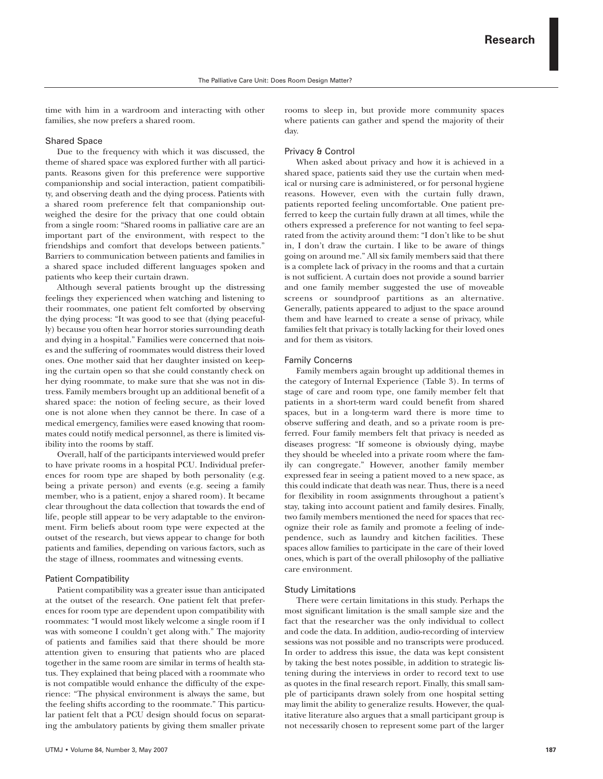time with him in a wardroom and interacting with other families, she now prefers a shared room.

## Shared Space

Due to the frequency with which it was discussed, the theme of shared space was explored further with all participants. Reasons given for this preference were supportive companionship and social interaction, patient compatibility, and observing death and the dying process. Patients with a shared room preference felt that companionship outweighed the desire for the privacy that one could obtain from a single room: "Shared rooms in palliative care are an important part of the environment, with respect to the friendships and comfort that develops between patients." Barriers to communication between patients and families in a shared space included different languages spoken and patients who keep their curtain drawn.

Although several patients brought up the distressing feelings they experienced when watching and listening to their roommates, one patient felt comforted by observing the dying process: "It was good to see that (dying peacefully) because you often hear horror stories surrounding death and dying in a hospital." Families were concerned that noises and the suffering of roommates would distress their loved ones. One mother said that her daughter insisted on keeping the curtain open so that she could constantly check on her dying roommate, to make sure that she was not in distress. Family members brought up an additional benefit of a shared space: the notion of feeling secure, as their loved one is not alone when they cannot be there. In case of a medical emergency, families were eased knowing that roommates could notify medical personnel, as there is limited visibility into the rooms by staff.

Overall, half of the participants interviewed would prefer to have private rooms in a hospital PCU. Individual preferences for room type are shaped by both personality (e.g. being a private person) and events (e.g. seeing a family member, who is a patient, enjoy a shared room). It became clear throughout the data collection that towards the end of life, people still appear to be very adaptable to the environment. Firm beliefs about room type were expected at the outset of the research, but views appear to change for both patients and families, depending on various factors, such as the stage of illness, roommates and witnessing events.

## Patient Compatibility

Patient compatibility was a greater issue than anticipated at the outset of the research. One patient felt that preferences for room type are dependent upon compatibility with roommates: "I would most likely welcome a single room if I was with someone I couldn't get along with." The majority of patients and families said that there should be more attention given to ensuring that patients who are placed together in the same room are similar in terms of health status. They explained that being placed with a roommate who is not compatible would enhance the difficulty of the experience: "The physical environment is always the same, but the feeling shifts according to the roommate." This particular patient felt that a PCU design should focus on separating the ambulatory patients by giving them smaller private

rooms to sleep in, but provide more community spaces where patients can gather and spend the majority of their day.

## Privacy & Control

When asked about privacy and how it is achieved in a shared space, patients said they use the curtain when medical or nursing care is administered, or for personal hygiene reasons. However, even with the curtain fully drawn, patients reported feeling uncomfortable. One patient preferred to keep the curtain fully drawn at all times, while the others expressed a preference for not wanting to feel separated from the activity around them: "I don't like to be shut in, I don't draw the curtain. I like to be aware of things going on around me." All six family members said that there is a complete lack of privacy in the rooms and that a curtain is not sufficient. A curtain does not provide a sound barrier and one family member suggested the use of moveable screens or soundproof partitions as an alternative. Generally, patients appeared to adjust to the space around them and have learned to create a sense of privacy, while families felt that privacy is totally lacking for their loved ones and for them as visitors.

#### Family Concerns

Family members again brought up additional themes in the category of Internal Experience (Table 3). In terms of stage of care and room type, one family member felt that patients in a short-term ward could benefit from shared spaces, but in a long-term ward there is more time to observe suffering and death, and so a private room is preferred. Four family members felt that privacy is needed as diseases progress: "If someone is obviously dying, maybe they should be wheeled into a private room where the family can congregate." However, another family member expressed fear in seeing a patient moved to a new space, as this could indicate that death was near. Thus, there is a need for flexibility in room assignments throughout a patient's stay, taking into account patient and family desires. Finally, two family members mentioned the need for spaces that recognize their role as family and promote a feeling of independence, such as laundry and kitchen facilities. These spaces allow families to participate in the care of their loved ones, which is part of the overall philosophy of the palliative care environment.

#### Study Limitations

There were certain limitations in this study. Perhaps the most significant limitation is the small sample size and the fact that the researcher was the only individual to collect and code the data. In addition, audio-recording of interview sessions was not possible and no transcripts were produced. In order to address this issue, the data was kept consistent by taking the best notes possible, in addition to strategic listening during the interviews in order to record text to use as quotes in the final research report. Finally, this small sample of participants drawn solely from one hospital setting may limit the ability to generalize results. However, the qualitative literature also argues that a small participant group is not necessarily chosen to represent some part of the larger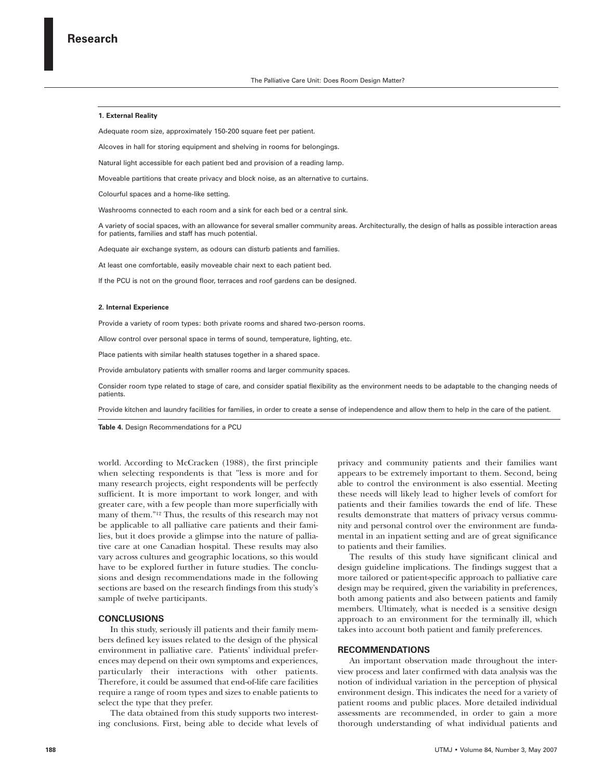### **1. External Reality**

Adequate room size, approximately 150-200 square feet per patient.

Alcoves in hall for storing equipment and shelving in rooms for belongings.

Natural light accessible for each patient bed and provision of a reading lamp.

Moveable partitions that create privacy and block noise, as an alternative to curtains.

Colourful spaces and a home-like setting.

Washrooms connected to each room and a sink for each bed or a central sink.

A variety of social spaces, with an allowance for several smaller community areas. Architecturally, the design of halls as possible interaction areas for patients, families and staff has much potential.

Adequate air exchange system, as odours can disturb patients and families.

At least one comfortable, easily moveable chair next to each patient bed.

If the PCU is not on the ground floor, terraces and roof gardens can be designed.

#### **2. Internal Experience**

Provide a variety of room types: both private rooms and shared two-person rooms.

Allow control over personal space in terms of sound, temperature, lighting, etc.

Place patients with similar health statuses together in a shared space.

Provide ambulatory patients with smaller rooms and larger community spaces.

Consider room type related to stage of care, and consider spatial flexibility as the environment needs to be adaptable to the changing needs of patients.

Provide kitchen and laundry facilities for families, in order to create a sense of independence and allow them to help in the care of the patient.

**Table 4.** Design Recommendations for a PCU

world. According to McCracken (1988), the first principle when selecting respondents is that "less is more and for many research projects, eight respondents will be perfectly sufficient. It is more important to work longer, and with greater care, with a few people than more superficially with many of them."12 Thus, the results of this research may not be applicable to all palliative care patients and their families, but it does provide a glimpse into the nature of palliative care at one Canadian hospital. These results may also vary across cultures and geographic locations, so this would have to be explored further in future studies. The conclusions and design recommendations made in the following sections are based on the research findings from this study's sample of twelve participants.

# **CONCLUSIONS**

In this study, seriously ill patients and their family members defined key issues related to the design of the physical environment in palliative care. Patients' individual preferences may depend on their own symptoms and experiences, particularly their interactions with other patients. Therefore, it could be assumed that end-of-life care facilities require a range of room types and sizes to enable patients to select the type that they prefer.

The data obtained from this study supports two interesting conclusions. First, being able to decide what levels of privacy and community patients and their families want appears to be extremely important to them. Second, being able to control the environment is also essential. Meeting these needs will likely lead to higher levels of comfort for patients and their families towards the end of life. These results demonstrate that matters of privacy versus community and personal control over the environment are fundamental in an inpatient setting and are of great significance to patients and their families.

The results of this study have significant clinical and design guideline implications. The findings suggest that a more tailored or patient-specific approach to palliative care design may be required, given the variability in preferences, both among patients and also between patients and family members. Ultimately, what is needed is a sensitive design approach to an environment for the terminally ill, which takes into account both patient and family preferences.

#### **RECOMMENDATIONS**

An important observation made throughout the interview process and later confirmed with data analysis was the notion of individual variation in the perception of physical environment design. This indicates the need for a variety of patient rooms and public places. More detailed individual assessments are recommended, in order to gain a more thorough understanding of what individual patients and